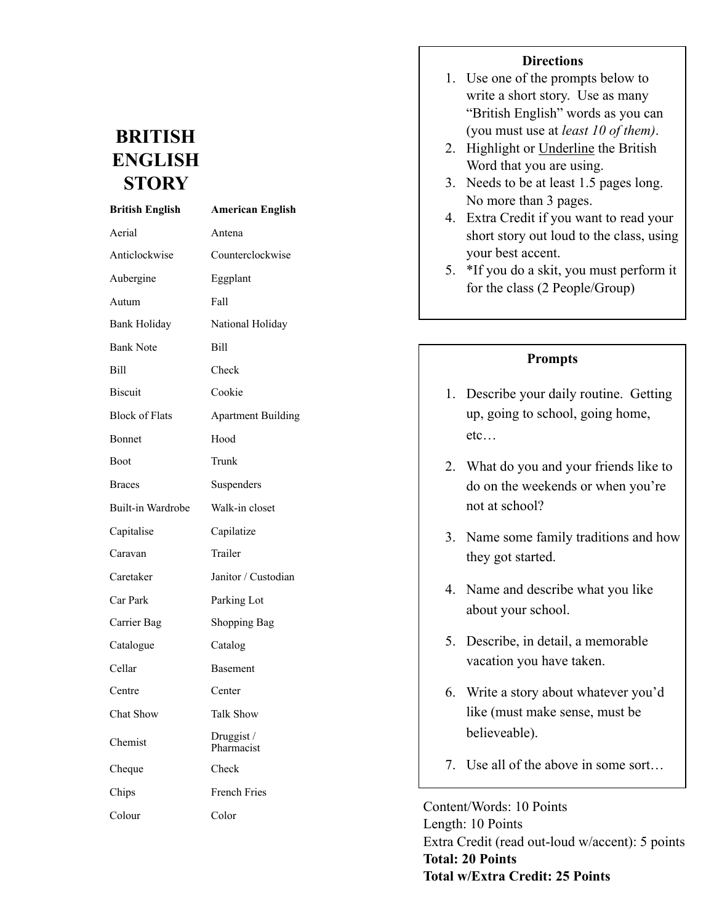## **BRITISH ENGLISH STORY**

| <b>British English</b> | <b>American English</b>   |  |
|------------------------|---------------------------|--|
| Aerial                 | Antena                    |  |
| Anticlockwise          | Counterclockwise          |  |
| Aubergine              | Eggplant                  |  |
| Autum                  | Fall                      |  |
| <b>Bank Holiday</b>    | National Holiday          |  |
| <b>Bank Note</b>       | Bill                      |  |
| Bill                   | Check                     |  |
| <b>Biscuit</b>         | Cookie                    |  |
| <b>Block of Flats</b>  | <b>Apartment Building</b> |  |
| Bonnet                 | Hood                      |  |
| Boot                   | Trunk                     |  |
| <b>Braces</b>          | Suspenders                |  |
| Built-in Wardrobe      | Walk-in closet            |  |
| Capitalise             | Capilatize                |  |
| Caravan                | Trailer                   |  |
| Caretaker              | Janitor / Custodian       |  |
| Car Park               | Parking Lot               |  |
| Carrier Bag            | <b>Shopping Bag</b>       |  |
| Catalogue              | Catalog                   |  |
| Cellar                 | <b>Basement</b>           |  |
| Centre                 | Center                    |  |
| <b>Chat Show</b>       | <b>Talk Show</b>          |  |
| Chemist                | Druggist /<br>Pharmacist  |  |
| Cheque                 | Check                     |  |
| Chips                  | <b>French Fries</b>       |  |
| Colour                 | Color                     |  |

## **Directions**

- 1. Use one of the prompts below to write a short story. Use as many "British English" words as you can (you must use at *least 10 of them)*.
- 2. Highlight or Underline the British Word that you are using.
- 3. Needs to be at least 1.5 pages long. No more than 3 pages.
- 4. Extra Credit if you want to read your short story out loud to the class, using your best accent.
- 5. \*If you do a skit, you must perform it for the class (2 People/Group)

## **Prompts**

- 1. Describe your daily routine. Getting up, going to school, going home, etc…
- 2. What do you and your friends like to do on the weekends or when you're not at school?
- 3. Name some family traditions and how they got started.
- 4. Name and describe what you like about your school.
- 5. Describe, in detail, a memorable vacation you have taken.
- 6. Write a story about whatever you'd like (must make sense, must be believeable).
- 7. Use all of the above in some sort…

Content/Words: 10 Points Length: 10 Points Extra Credit (read out-loud w/accent): 5 points **Total: 20 Points Total w/Extra Credit: 25 Points**